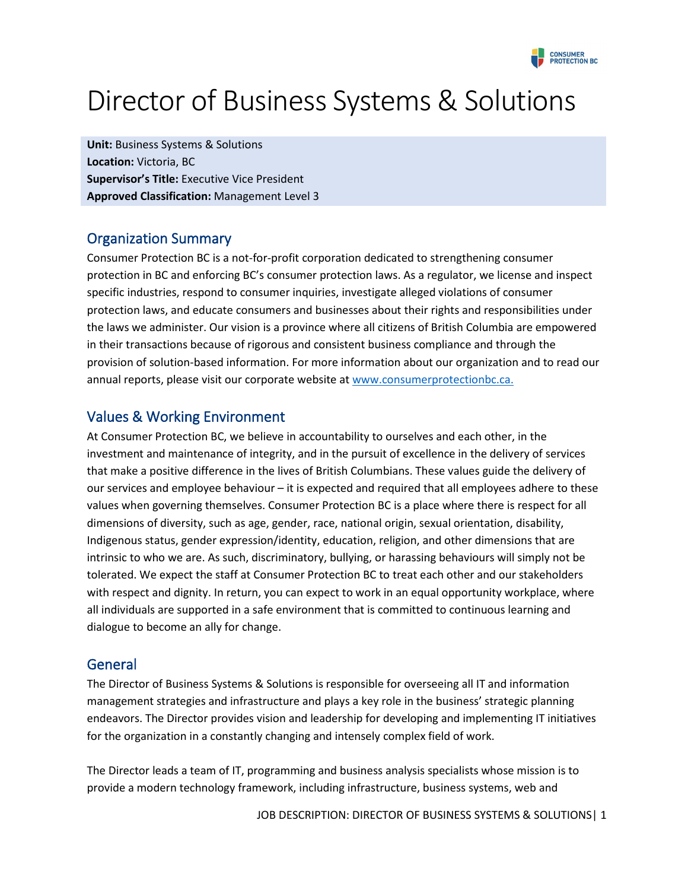

# Director of Business Systems & Solutions

**Unit:** Business Systems & Solutions **Location:** Victoria, BC **Supervisor's Title:** Executive Vice President **Approved Classification:** Management Level 3

## Organization Summary

Consumer Protection BC is a not‐for‐profit corporation dedicated to strengthening consumer protection in BC and enforcing BC's consumer protection laws. As a regulator, we license and inspect specific industries, respond to consumer inquiries, investigate alleged violations of consumer protection laws, and educate consumers and businesses about their rights and responsibilities under the laws we administer. Our vision is a province where all citizens of British Columbia are empowered in their transactions because of rigorous and consistent business compliance and through the provision of solution‐based information. For more information about our organization and to read our annual reports, please visit our corporate website a[t www.consumerprotectionbc.ca.](http://www.consumerprotectionbc.ca/)

# Values & Working Environment

At Consumer Protection BC, we believe in accountability to ourselves and each other, in the investment and maintenance of integrity, and in the pursuit of excellence in the delivery of services that make a positive difference in the lives of British Columbians. These values guide the delivery of our services and employee behaviour – it is expected and required that all employees adhere to these values when governing themselves. Consumer Protection BC is a place where there is respect for all dimensions of diversity, such as age, gender, race, national origin, sexual orientation, disability, Indigenous status, gender expression/identity, education, religion, and other dimensions that are intrinsic to who we are. As such, discriminatory, bullying, or harassing behaviours will simply not be tolerated. We expect the staff at Consumer Protection BC to treat each other and our stakeholders with respect and dignity. In return, you can expect to work in an equal opportunity workplace, where all individuals are supported in a safe environment that is committed to continuous learning and dialogue to become an ally for change.

### General

The Director of Business Systems & Solutions is responsible for overseeing all IT and information management strategies and infrastructure and plays a key role in the business' strategic planning endeavors. The Director provides vision and leadership for developing and implementing IT initiatives for the organization in a constantly changing and intensely complex field of work.

The Director leads a team of IT, programming and business analysis specialists whose mission is to provide a modern technology framework, including infrastructure, business systems, web and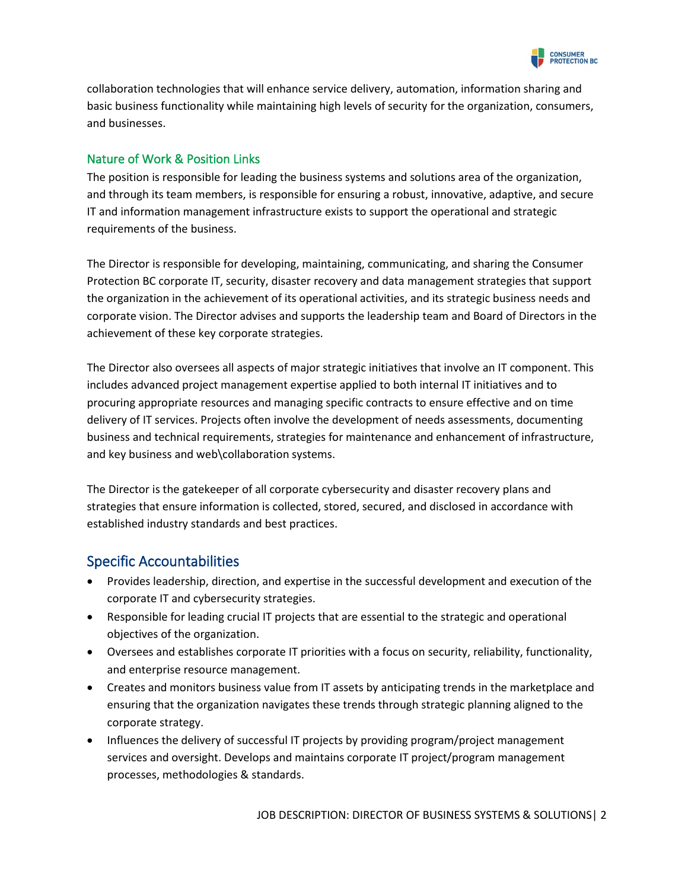

collaboration technologies that will enhance service delivery, automation, information sharing and basic business functionality while maintaining high levels of security for the organization, consumers, and businesses.

#### Nature of Work & Position Links

The position is responsible for leading the business systems and solutions area of the organization, and through its team members, is responsible for ensuring a robust, innovative, adaptive, and secure IT and information management infrastructure exists to support the operational and strategic requirements of the business.

The Director is responsible for developing, maintaining, communicating, and sharing the Consumer Protection BC corporate IT, security, disaster recovery and data management strategies that support the organization in the achievement of its operational activities, and its strategic business needs and corporate vision. The Director advises and supports the leadership team and Board of Directors in the achievement of these key corporate strategies.

The Director also oversees all aspects of major strategic initiatives that involve an IT component. This includes advanced project management expertise applied to both internal IT initiatives and to procuring appropriate resources and managing specific contracts to ensure effective and on time delivery of IT services. Projects often involve the development of needs assessments, documenting business and technical requirements, strategies for maintenance and enhancement of infrastructure, and key business and web\collaboration systems.

The Director is the gatekeeper of all corporate cybersecurity and disaster recovery plans and strategies that ensure information is collected, stored, secured, and disclosed in accordance with established industry standards and best practices.

# Specific Accountabilities

- Provides leadership, direction, and expertise in the successful development and execution of the corporate IT and cybersecurity strategies.
- Responsible for leading crucial IT projects that are essential to the strategic and operational objectives of the organization.
- Oversees and establishes corporate IT priorities with a focus on security, reliability, functionality, and enterprise resource management.
- Creates and monitors business value from IT assets by anticipating trends in the marketplace and ensuring that the organization navigates these trends through strategic planning aligned to the corporate strategy.
- Influences the delivery of successful IT projects by providing program/project management services and oversight. Develops and maintains corporate IT project/program management processes, methodologies & standards.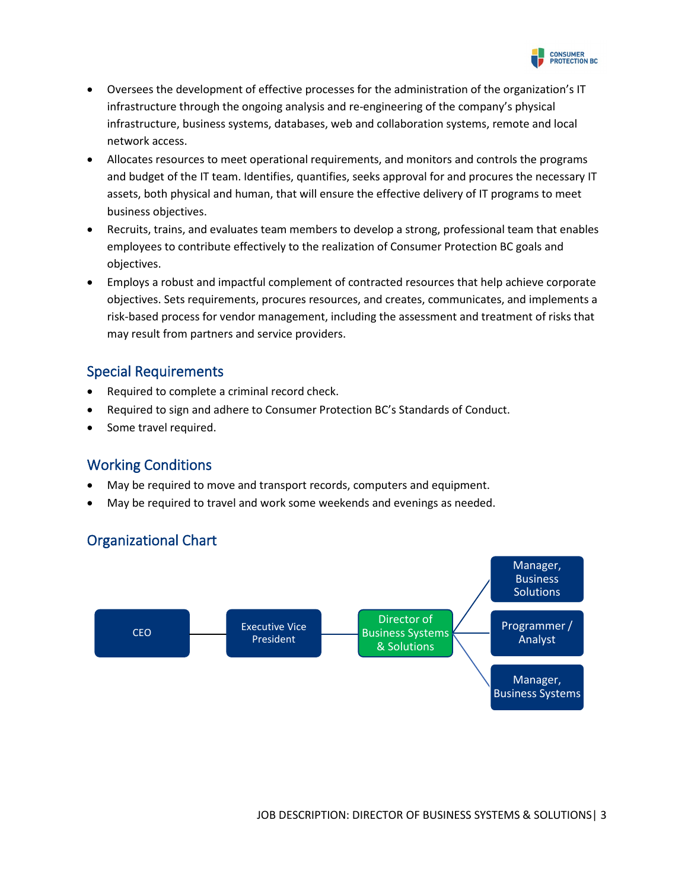

- Oversees the development of effective processes for the administration of the organization's IT infrastructure through the ongoing analysis and re-engineering of the company's physical infrastructure, business systems, databases, web and collaboration systems, remote and local network access.
- Allocates resources to meet operational requirements, and monitors and controls the programs and budget of the IT team. Identifies, quantifies, seeks approval for and procures the necessary IT assets, both physical and human, that will ensure the effective delivery of IT programs to meet business objectives.
- Recruits, trains, and evaluates team members to develop a strong, professional team that enables employees to contribute effectively to the realization of Consumer Protection BC goals and objectives.
- Employs a robust and impactful complement of contracted resources that help achieve corporate objectives. Sets requirements, procures resources, and creates, communicates, and implements a risk-based process for vendor management, including the assessment and treatment of risks that may result from partners and service providers.

### Special Requirements

- Required to complete a criminal record check.
- Required to sign and adhere to Consumer Protection BC's Standards of Conduct.
- Some travel required.

# Working Conditions

- May be required to move and transport records, computers and equipment.
- May be required to travel and work some weekends and evenings as needed.

# Organizational Chart

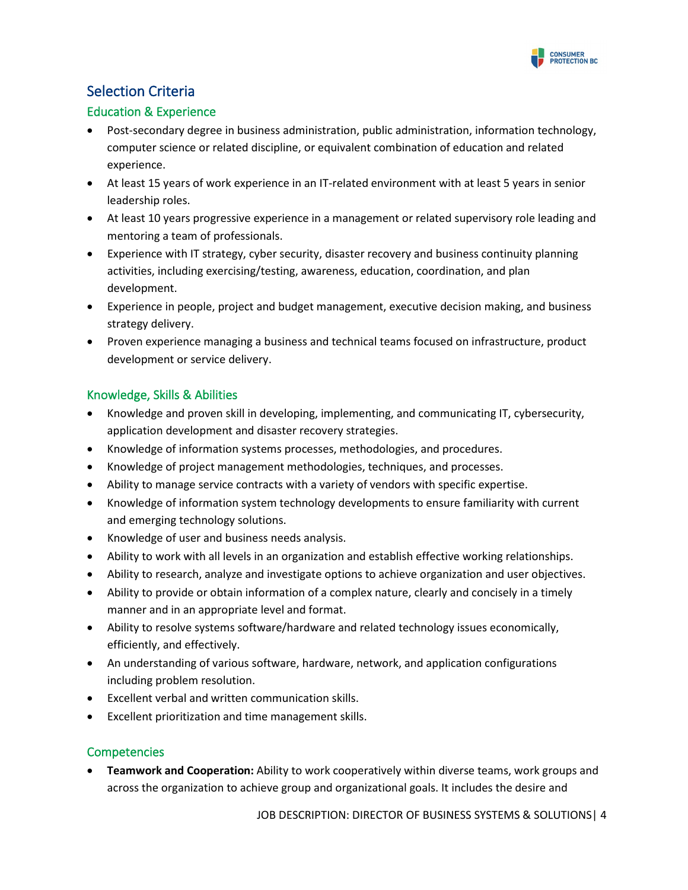

# Selection Criteria

#### Education & Experience

- Post-secondary degree in business administration, public administration, information technology, computer science or related discipline, or equivalent combination of education and related experience.
- At least 15 years of work experience in an IT-related environment with at least 5 years in senior leadership roles.
- At least 10 years progressive experience in a management or related supervisory role leading and mentoring a team of professionals.
- Experience with IT strategy, cyber security, disaster recovery and business continuity planning activities, including exercising/testing, awareness, education, coordination, and plan development.
- Experience in people, project and budget management, executive decision making, and business strategy delivery.
- Proven experience managing a business and technical teams focused on infrastructure, product development or service delivery.

#### Knowledge, Skills & Abilities

- Knowledge and proven skill in developing, implementing, and communicating IT, cybersecurity, application development and disaster recovery strategies.
- Knowledge of information systems processes, methodologies, and procedures.
- Knowledge of project management methodologies, techniques, and processes.
- Ability to manage service contracts with a variety of vendors with specific expertise.
- Knowledge of information system technology developments to ensure familiarity with current and emerging technology solutions.
- Knowledge of user and business needs analysis.
- Ability to work with all levels in an organization and establish effective working relationships.
- Ability to research, analyze and investigate options to achieve organization and user objectives.
- Ability to provide or obtain information of a complex nature, clearly and concisely in a timely manner and in an appropriate level and format.
- Ability to resolve systems software/hardware and related technology issues economically, efficiently, and effectively.
- An understanding of various software, hardware, network, and application configurations including problem resolution.
- Excellent verbal and written communication skills.
- Excellent prioritization and time management skills.

#### **Competencies**

• **Teamwork and Cooperation:** Ability to work cooperatively within diverse teams, work groups and across the organization to achieve group and organizational goals. It includes the desire and